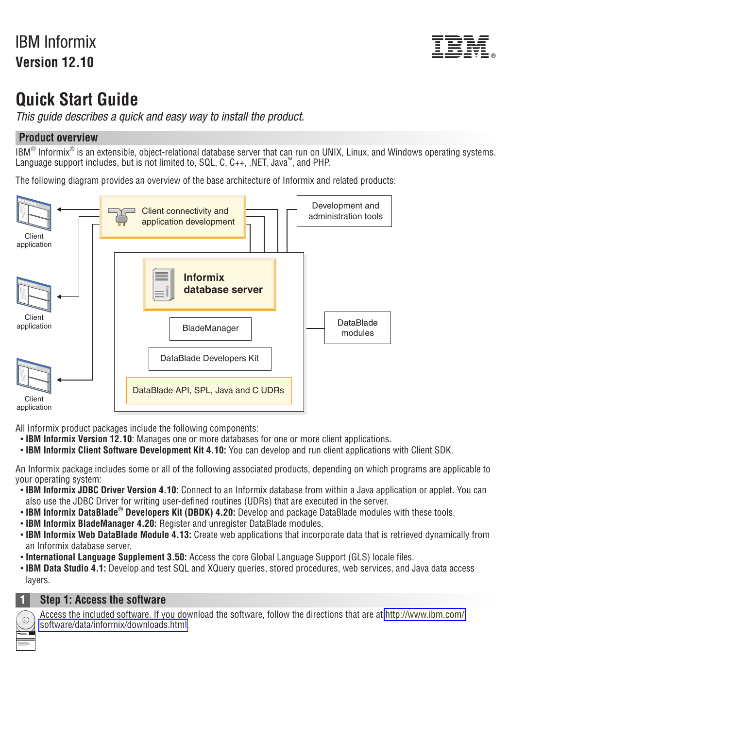# IBM Informix **Version 12.10**



# **Quick Start Guide**

*This guide describes a quick and easy way to install the product.*

## **Product overview**

 $IBM^®$  Informix<sup>®</sup> is an extensible, object-relational database server that can run on UNIX, Linux, and Windows operating systems. Language support includes, but is not limited to,  $SQL, C, C++,$ . NET, Java<sup>m</sup>, and PHP.

The following diagram provides an overview of the base architecture of Informix and related products:



All Informix product packages include the following components:

- v **IBM Informix Version 12.10**: Manages one or more databases for one or more client applications.
- v **IBM Informix Client Software Development Kit 4.10:** You can develop and run client applications with Client SDK.

An Informix package includes some or all of the following associated products, depending on which programs are applicable to your operating system:

- v **IBM Informix JDBC Driver Version 4.10:** Connect to an Informix database from within a Java application or applet. You can also use the JDBC Driver for writing user-defined routines (UDRs) that are executed in the server.
- **IBM Informix DataBlade<sup>®</sup> Developers Kit (DBDK) 4.20:** Develop and package DataBlade modules with these tools.
- v **IBM Informix BladeManager 4.20:** Register and unregister DataBlade modules.
- v **IBM Informix Web DataBlade Module 4.13:** Create web applications that incorporate data that is retrieved dynamically from an Informix database server.
- v **International Language Supplement 3.50:** Access the core Global Language Support (GLS) locale files.
- v **IBM Data Studio 4.1:** Develop and test SQL and XQuery queries, stored procedures, web services, and Java data access layers.



### **1 Step 1: Access the software**

Access the included software. If you download the software, follow the directions that are at [http://www.ibm.com/](http://www.ibm.com/software/data/informix/downloads.html) [software/data/informix/downloads.html.](http://www.ibm.com/software/data/informix/downloads.html)